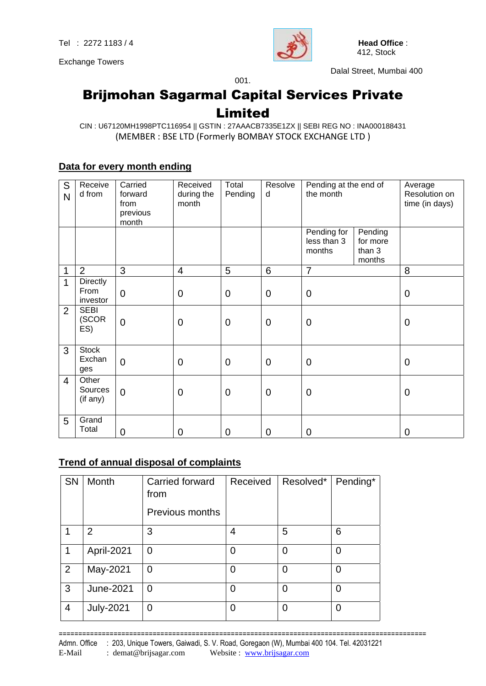Exchange Towers



Dalal Street, Mumbai 400

## Brijmohan Sagarmal Capital Services Private Limited

001.

#### CIN : U67120MH1998PTC116954 || GSTIN : 27AAACB7335E1ZX || SEBI REG NO : INA000188431 (MEMBER : BSE LTD (Formerly BOMBAY STOCK EXCHANGE LTD )

#### **Data for every month ending**

| S<br>N | Receive<br>d from             | Carried<br>forward<br>from<br>previous<br>month | Received<br>during the<br>month | Total<br>Pending | Resolve<br>d   | Pending at the end of<br>the month   |                                         | Average<br>Resolution on<br>time (in days) |
|--------|-------------------------------|-------------------------------------------------|---------------------------------|------------------|----------------|--------------------------------------|-----------------------------------------|--------------------------------------------|
|        |                               |                                                 |                                 |                  |                | Pending for<br>less than 3<br>months | Pending<br>for more<br>than 3<br>months |                                            |
| 1      | $\overline{2}$                | 3                                               | $\overline{4}$                  | 5                | 6              | $\overline{7}$                       |                                         | 8                                          |
| 1      | Directly<br>From<br>investor  | $\overline{0}$                                  | $\overline{0}$                  | $\overline{0}$   | $\overline{0}$ | $\mathbf 0$                          |                                         | $\mathbf 0$                                |
| 2      | <b>SEBI</b><br>(SCOR<br>ES)   | $\overline{0}$                                  | $\overline{0}$                  | $\overline{0}$   | $\overline{0}$ | $\mathbf 0$                          |                                         | $\mathbf 0$                                |
| 3      | <b>Stock</b><br>Exchan<br>ges | $\overline{0}$                                  | $\overline{0}$                  | $\mathbf 0$      | $\overline{0}$ | $\mathbf 0$                          |                                         | $\mathbf 0$                                |
| 4      | Other<br>Sources<br>(if any)  | $\overline{0}$                                  | $\mathbf 0$                     | $\mathbf 0$      | $\overline{0}$ | $\mathbf 0$                          |                                         | $\mathbf 0$                                |
| 5      | Grand<br>Total                | $\overline{0}$                                  | $\mathbf 0$                     | $\overline{0}$   | $\mathbf 0$    | 0                                    |                                         | $\mathbf 0$                                |

#### **Trend of annual disposal of complaints**

| <b>SN</b>      | Month            | Carried forward<br>from | Received | Resolved* | Pending*       |
|----------------|------------------|-------------------------|----------|-----------|----------------|
|                |                  | <b>Previous months</b>  |          |           |                |
|                | $\overline{2}$   | 3                       | 4        | 5         | 6              |
| 1              | April-2021       | 0                       | 0        | 0         | $\overline{0}$ |
| $\overline{2}$ | May-2021         | 0                       | 0        | 0         | 0              |
| 3              | <b>June-2021</b> | 0                       | $\Omega$ | 0         | 0              |
| $\overline{4}$ | <b>July-2021</b> | 0                       | 0        | 0         | 0              |